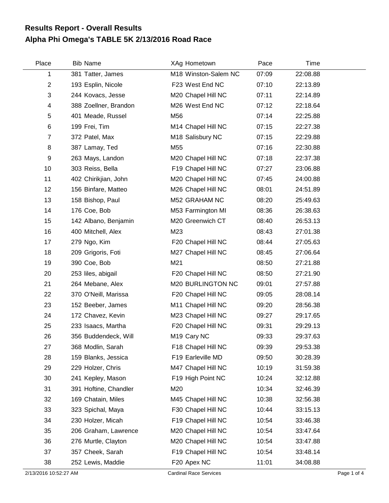## **Alpha Phi Omega's TABLE 5K 2/13/2016 Road Race Results Report - Overall Results**

| Place          | <b>Bib Name</b>       | XAg Hometown                 | Pace  | Time     |  |
|----------------|-----------------------|------------------------------|-------|----------|--|
| 1              | 381 Tatter, James     | M18 Winston-Salem NC         | 07:09 | 22:08.88 |  |
| $\overline{c}$ | 193 Esplin, Nicole    | F23 West End NC              | 07:10 | 22:13.89 |  |
| 3              | 244 Kovacs, Jesse     | M20 Chapel Hill NC           | 07:11 | 22:14.89 |  |
| 4              | 388 Zoellner, Brandon | M26 West End NC              | 07:12 | 22:18.64 |  |
| 5              | 401 Meade, Russel     | M56                          | 07:14 | 22:25.88 |  |
| 6              | 199 Frei, Tim         | M14 Chapel Hill NC           | 07:15 | 22:27.38 |  |
| 7              | 372 Patel, Max        | M <sub>18</sub> Salisbury NC | 07:15 | 22:29.88 |  |
| 8              | 387 Lamay, Ted        | M <sub>55</sub>              | 07:16 | 22:30.88 |  |
| 9              | 263 Mays, Landon      | M20 Chapel Hill NC           | 07:18 | 22:37.38 |  |
| 10             | 303 Reiss, Bella      | F19 Chapel Hill NC           | 07:27 | 23:06.88 |  |
| 11             | 402 Chirikjian, John  | M20 Chapel Hill NC           | 07:45 | 24:00.88 |  |
| 12             | 156 Binfare, Matteo   | M26 Chapel Hill NC           | 08:01 | 24:51.89 |  |
| 13             | 158 Bishop, Paul      | M52 GRAHAM NC                | 08:20 | 25:49.63 |  |
| 14             | 176 Coe, Bob          | M53 Farmington MI            | 08:36 | 26:38.63 |  |
| 15             | 142 Albano, Benjamin  | M20 Greenwich CT             | 08:40 | 26:53.13 |  |
| 16             | 400 Mitchell, Alex    | M23                          | 08:43 | 27:01.38 |  |
| 17             | 279 Ngo, Kim          | F20 Chapel Hill NC           | 08:44 | 27:05.63 |  |
| 18             | 209 Grigoris, Foti    | M27 Chapel Hill NC           | 08:45 | 27:06.64 |  |
| 19             | 390 Coe, Bob          | M21                          | 08:50 | 27:21.88 |  |
| 20             | 253 liles, abigail    | F20 Chapel Hill NC           | 08:50 | 27:21.90 |  |
| 21             | 264 Mebane, Alex      | M20 BURLINGTON NC            | 09:01 | 27:57.88 |  |
| 22             | 370 O'Neill, Marissa  | F20 Chapel Hill NC           | 09:05 | 28:08.14 |  |
| 23             | 152 Beeber, James     | M11 Chapel Hill NC           | 09:20 | 28:56.38 |  |
| 24             | 172 Chavez, Kevin     | M23 Chapel Hill NC           | 09:27 | 29:17.65 |  |
| 25             | 233 Isaacs, Martha    | F20 Chapel Hill NC           | 09:31 | 29:29.13 |  |
| 26             | 356 Buddendeck, Will  | M <sub>19</sub> Cary NC      | 09:33 | 29:37.63 |  |
| 27             | 368 Modlin, Sarah     | F18 Chapel Hill NC           | 09:39 | 29:53.38 |  |
| 28             | 159 Blanks, Jessica   | F19 Earleville MD            | 09:50 | 30:28.39 |  |
| 29             | 229 Holzer, Chris     | M47 Chapel Hill NC           | 10:19 | 31:59.38 |  |
| 30             | 241 Kepley, Mason     | F19 High Point NC            | 10:24 | 32:12.88 |  |
| 31             | 391 Hoftine, Chandler | M20                          | 10:34 | 32:46.39 |  |
| 32             | 169 Chatain, Miles    | M45 Chapel Hill NC           | 10:38 | 32:56.38 |  |
| 33             | 323 Spichal, Maya     | F30 Chapel Hill NC           | 10:44 | 33:15.13 |  |
| 34             | 230 Holzer, Micah     | F19 Chapel Hill NC           | 10:54 | 33:46.38 |  |
| 35             | 206 Graham, Lawrence  | M20 Chapel Hill NC           | 10:54 | 33:47.64 |  |
| 36             | 276 Murtle, Clayton   | M20 Chapel Hill NC           | 10:54 | 33:47.88 |  |
| 37             | 357 Cheek, Sarah      | F19 Chapel Hill NC           | 10:54 | 33:48.14 |  |
| 38             | 252 Lewis, Maddie     | F20 Apex NC                  | 11:01 | 34:08.88 |  |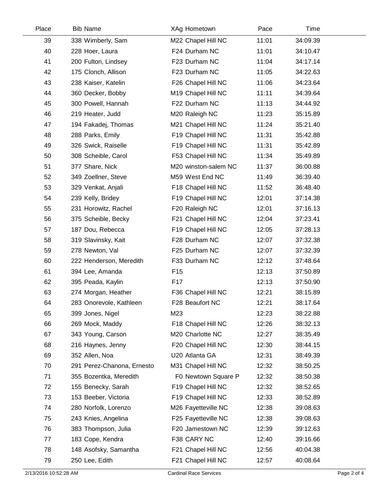| Place | <b>Bib Name</b>            | XAg Hometown         | Pace  | Time     |
|-------|----------------------------|----------------------|-------|----------|
| 39    | 338 Wimberly, Sam          | M22 Chapel Hill NC   | 11:01 | 34:09.39 |
| 40    | 228 Hoer, Laura            | F24 Durham NC        | 11:01 | 34:10.47 |
| 41    | 200 Fulton, Lindsey        | F23 Durham NC        | 11:04 | 34:17.14 |
| 42    | 175 Clonch, Allison        | F23 Durham NC        | 11:05 | 34:22.63 |
| 43    | 238 Kaiser, Katelin        | F26 Chapel Hill NC   | 11:06 | 34:23.64 |
| 44    | 360 Decker, Bobby          | M19 Chapel Hill NC   | 11:11 | 34:39.64 |
| 45    | 300 Powell, Hannah         | F22 Durham NC        | 11:13 | 34:44.92 |
| 46    | 219 Heater, Judd           | M20 Raleigh NC       | 11:23 | 35:15.89 |
| 47    | 194 Fakadej, Thomas        | M21 Chapel Hill NC   | 11:24 | 35:21.40 |
| 48    | 288 Parks, Emily           | F19 Chapel Hill NC   | 11:31 | 35:42.88 |
| 49    | 326 Swick, Raiselle        | F19 Chapel Hill NC   | 11:31 | 35:42.89 |
| 50    | 308 Scheible, Carol        | F53 Chapel Hill NC   | 11:34 | 35:49.89 |
| 51    | 377 Share, Nick            | M20 winston-salem NC | 11:37 | 36:00.88 |
| 52    | 349 Zoellner, Steve        | M59 West End NC      | 11:49 | 36:39.40 |
| 53    | 329 Venkat, Anjali         | F18 Chapel Hill NC   | 11:52 | 36:48.40 |
| 54    | 239 Kelly, Bridey          | F19 Chapel Hill NC   | 12:01 | 37:14.38 |
| 55    | 231 Horowitz, Rachel       | F20 Raleigh NC       | 12:01 | 37:16.13 |
| 56    | 375 Scheible, Becky        | F21 Chapel Hill NC   | 12:04 | 37:23.41 |
| 57    | 187 Dou, Rebecca           | F19 Chapel Hill NC   | 12:05 | 37:28.13 |
| 58    | 319 Slavinsky, Kait        | F28 Durham NC        | 12:07 | 37:32.38 |
| 59    | 278 Newton, Val            | F25 Durham NC        | 12:07 | 37:32.39 |
| 60    | 222 Henderson, Meredith    | F33 Durham NC        | 12:12 | 37:48.64 |
| 61    | 394 Lee, Amanda            | F <sub>15</sub>      | 12:13 | 37:50.89 |
| 62    | 395 Peada, Kaylin          | F <sub>17</sub>      | 12:13 | 37:50.90 |
| 63    | 274 Morgan, Heather        | F36 Chapel Hill NC   | 12:21 | 38:15.89 |
| 64    | 283 Onorevole, Kathleen    | F28 Beaufort NC      | 12:21 | 38:17.64 |
| 65    | 399 Jones, Nigel           | M23                  | 12:23 | 38:22.88 |
| 66    | 269 Mock, Maddy            | F18 Chapel Hill NC   | 12:26 | 38:32.13 |
| 67    | 343 Young, Carson          | M20 Charlotte NC     | 12:27 | 38:35.49 |
| 68    | 216 Haynes, Jenny          | F20 Chapel Hill NC   | 12:30 | 38:44.15 |
| 69    | 352 Allen, Noa             | U20 Atlanta GA       | 12:31 | 38:49.39 |
| 70    | 291 Perez-Chanona, Ernesto | M31 Chapel Hill NC   | 12:32 | 38:50.25 |
| 71    | 355 Bozentka, Meredith     | F0 Newtown Square P  | 12:32 | 38:50.38 |
| 72    | 155 Benecky, Sarah         | F19 Chapel Hill NC   | 12:32 | 38:52.65 |
| 73    | 153 Beeber, Victoria       | F19 Chapel Hill NC   | 12:33 | 38:52.89 |
| 74    | 280 Norfolk, Lorenzo       | M26 Fayetteville NC  | 12:38 | 39:08.63 |
| 75    | 243 Knies, Angelina        | F25 Fayetteville NC  | 12:38 | 39:08.63 |
| 76    | 383 Thompson, Julia        | F20 Jamestown NC     | 12:39 | 39:12.63 |
| 77    | 183 Cope, Kendra           | F38 CARY NC          | 12:40 | 39:16.66 |
| 78    | 148 Asofsky, Samantha      | F21 Chapel Hill NC   | 12:56 | 40:04.38 |
| 79    | 250 Lee, Edith             | F21 Chapel Hill NC   | 12:57 | 40:08.64 |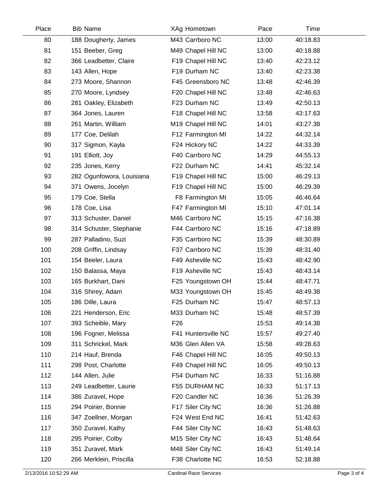| Place | <b>Bib Name</b>           | XAg Hometown        | Pace  | Time     |  |
|-------|---------------------------|---------------------|-------|----------|--|
| 80    | 188 Dougherty, James      | M43 Carrboro NC     | 13:00 | 40:18.83 |  |
| 81    | 151 Beeber, Greg          | M49 Chapel Hill NC  | 13:00 | 40:18.88 |  |
| 82    | 366 Leadbetter, Claire    | F19 Chapel Hill NC  | 13:40 | 42:23.12 |  |
| 83    | 143 Allen, Hope           | F19 Durham NC       | 13:40 | 42:23.38 |  |
| 84    | 273 Moore, Shannon        | F45 Greensboro NC   | 13:48 | 42:46.39 |  |
| 85    | 270 Moore, Lyndsey        | F20 Chapel Hill NC  | 13:48 | 42:46.63 |  |
| 86    | 281 Oakley, Elizabeth     | F23 Durham NC       | 13:49 | 42:50.13 |  |
| 87    | 364 Jones, Lauren         | F18 Chapel Hill NC  | 13:58 | 43:17.63 |  |
| 88    | 261 Martin, William       | M19 Chapel Hill NC  | 14:01 | 43:27.38 |  |
| 89    | 177 Coe, Delilah          | F12 Farmington MI   | 14:22 | 44:32.14 |  |
| 90    | 317 Sigmon, Kayla         | F24 Hickory NC      | 14:22 | 44:33.39 |  |
| 91    | 191 Elliott, Joy          | F40 Carrboro NC     | 14:29 | 44:55.13 |  |
| 92    | 235 Jones, Kerry          | F22 Durham NC       | 14:41 | 45:32.14 |  |
| 93    | 282 Ogunfowora, Louisiana | F19 Chapel Hill NC  | 15:00 | 46:29.13 |  |
| 94    | 371 Owens, Jocelyn        | F19 Chapel Hill NC  | 15:00 | 46:29.39 |  |
| 95    | 179 Coe, Stella           | F8 Farmington MI    | 15:05 | 46:46.64 |  |
| 96    | 178 Coe, Lisa             | F47 Farmington MI   | 15:10 | 47:01.14 |  |
| 97    | 313 Schuster, Daniel      | M46 Carrboro NC     | 15:15 | 47:16.38 |  |
| 98    | 314 Schuster, Stephanie   | F44 Carrboro NC     | 15:16 | 47:18.89 |  |
| 99    | 287 Palladino, Suzi       | F35 Carrboro NC     | 15:39 | 48:30.89 |  |
| 100   | 208 Griffin, Lindsay      | F37 Carrboro NC     | 15:39 | 48:31.40 |  |
| 101   | 154 Beeler, Laura         | F49 Asheville NC    | 15:43 | 48:42.90 |  |
| 102   | 150 Balassa, Maya         | F19 Asheville NC    | 15:43 | 48:43.14 |  |
| 103   | 165 Burkhart, Dani        | F25 Youngstown OH   | 15:44 | 48:47.71 |  |
| 104   | 316 Shirey, Adam          | M33 Youngstown OH   | 15:45 | 48:49.38 |  |
| 105   | 186 Dille, Laura          | F25 Durham NC       | 15:47 | 48:57.13 |  |
| 106   | 221 Henderson, Eric       | M33 Durham NC       | 15:48 | 48:57.39 |  |
| 107   | 393 Scheible, Mary        | F <sub>26</sub>     | 15:53 | 49:14.38 |  |
| 108   | 196 Fogner, Melissa       | F41 Huntersville NC | 15:57 | 49:27.40 |  |
| 109   | 311 Schrickel, Mark       | M36 Glen Allen VA   | 15:58 | 49:28.63 |  |
| 110   | 214 Hauf, Brenda          | F46 Chapel Hill NC  | 16:05 | 49:50.13 |  |
| 111   | 298 Post, Charlotte       | F49 Chapel Hill NC  | 16:05 | 49:50.13 |  |
| 112   | 144 Allen, Julie          | F54 Durham NC       | 16:33 | 51:16.88 |  |
| 113   | 249 Leadbetter, Laurie    | F55 DURHAM NC       | 16:33 | 51:17.13 |  |
| 114   | 386 Zuravel, Hope         | F20 Candler NC      | 16:36 | 51:26.39 |  |
| 115   | 294 Poirier, Bonnie       | F17 Siler City NC   | 16:36 | 51:26.88 |  |
| 116   | 347 Zoellner, Morgan      | F24 West End NC     | 16:41 | 51:42.63 |  |
| 117   | 350 Zuravel, Kathy        | F44 Siler City NC   | 16:43 | 51:48.63 |  |
| 118   | 295 Poirier, Colby        | M15 Siler City NC   | 16:43 | 51:48.64 |  |
| 119   | 351 Zuravel, Mark         | M48 Siler City NC   | 16:43 | 51:49.14 |  |
| 120   | 266 Merklein, Priscilla   | F38 Charlotte NC    | 16:53 | 52:18.88 |  |